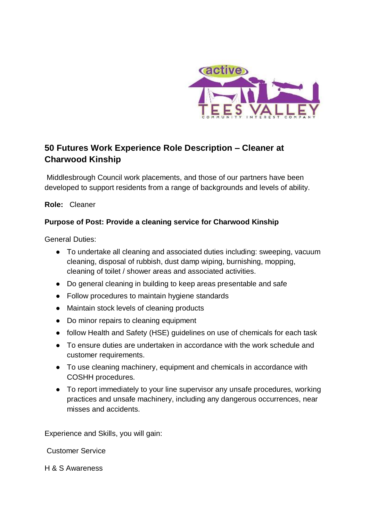

# **50 Futures Work Experience Role Description – Cleaner at Charwood Kinship**

Middlesbrough Council work placements, and those of our partners have been developed to support residents from a range of backgrounds and levels of ability.

**Role:** Cleaner

# **Purpose of Post: Provide a cleaning service for Charwood Kinship**

General Duties:

- To undertake all cleaning and associated duties including: sweeping, vacuum cleaning, disposal of rubbish, dust damp wiping, burnishing, mopping, cleaning of toilet / shower areas and associated activities.
- Do general cleaning in building to keep areas presentable and safe
- Follow procedures to maintain hygiene standards
- Maintain stock levels of cleaning products
- Do minor repairs to cleaning equipment
- follow Health and Safety (HSE) guidelines on use of chemicals for each task
- To ensure duties are undertaken in accordance with the work schedule and customer requirements.
- To use cleaning machinery, equipment and chemicals in accordance with COSHH procedures.
- To report immediately to your line supervisor any unsafe procedures, working practices and unsafe machinery, including any dangerous occurrences, near misses and accidents.

Experience and Skills, you will gain:

Customer Service

H & S Awareness